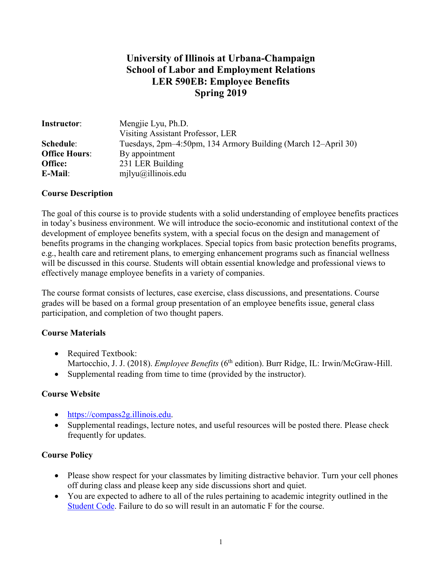## **University of Illinois at Urbana-Champaign School of Labor and Employment Relations LER 590EB: Employee Benefits Spring 2019**

| <b>Instructor:</b>   | Mengjie Lyu, Ph.D.                                            |
|----------------------|---------------------------------------------------------------|
|                      | Visiting Assistant Professor, LER                             |
| Schedule:            | Tuesdays, 2pm–4:50pm, 134 Armory Building (March 12–April 30) |
| <b>Office Hours:</b> | By appointment                                                |
| Office:              | 231 LER Building                                              |
| E-Mail:              | $milyu(\omega)$ illinois.edu                                  |

### **Course Description**

The goal of this course is to provide students with a solid understanding of employee benefits practices in today's business environment. We will introduce the socio-economic and institutional context of the development of employee benefits system, with a special focus on the design and management of benefits programs in the changing workplaces. Special topics from basic protection benefits programs, e.g., health care and retirement plans, to emerging enhancement programs such as financial wellness will be discussed in this course. Students will obtain essential knowledge and professional views to effectively manage employee benefits in a variety of companies.

The course format consists of lectures, case exercise, class discussions, and presentations. Course grades will be based on a formal group presentation of an employee benefits issue, general class participation, and completion of two thought papers.

### **Course Materials**

- Required Textbook: Martocchio, J. J. (2018). *Employee Benefits* (6<sup>th</sup> edition). Burr Ridge, IL: Irwin/McGraw-Hill.
- Supplemental reading from time to time (provided by the instructor).

### **Course Website**

- [https://compass2g.illinois.edu.](https://compass2g.illinois.edu/)
- Supplemental readings, lecture notes, and useful resources will be posted there. Please check frequently for updates.

### **Course Policy**

- Please show respect for your classmates by limiting distractive behavior. Turn your cell phones off during class and please keep any side discussions short and quiet.
- You are expected to adhere to all of the rules pertaining to academic integrity outlined in the [Student Code.](http://studentcode.illinois.edu/) Failure to do so will result in an automatic F for the course.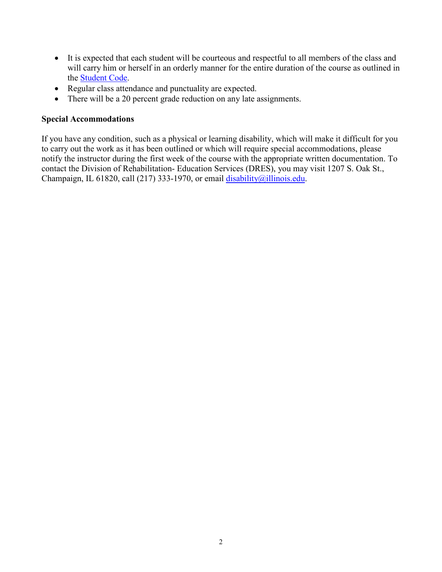- It is expected that each student will be courteous and respectful to all members of the class and will carry him or herself in an orderly manner for the entire duration of the course as outlined in the [Student Code.](http://studentcode.illinois.edu/)
- Regular class attendance and punctuality are expected.
- There will be a 20 percent grade reduction on any late assignments.

### **Special Accommodations**

If you have any condition, such as a physical or learning disability, which will make it difficult for you to carry out the work as it has been outlined or which will require special accommodations, please notify the instructor during the first week of the course with the appropriate written documentation. To contact the Division of Rehabilitation- Education Services (DRES), you may visit 1207 S. Oak St., Champaign, IL 61820, call (217) 333-1970, or email  $\frac{disability(0)$ illinois.edu.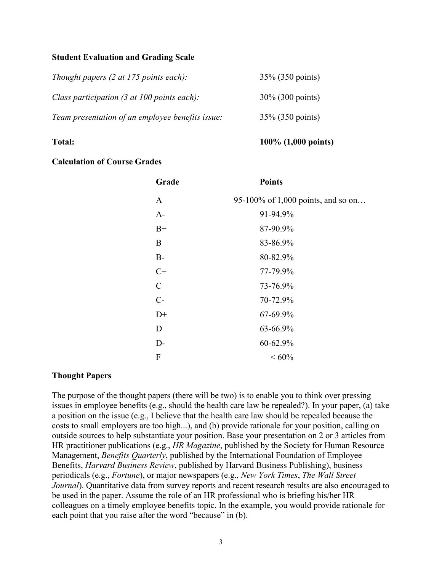### **Student Evaluation and Grading Scale**

| Thought papers $(2 \text{ at } 175 \text{ points each})$ :      | 35% (350 points)    |
|-----------------------------------------------------------------|---------------------|
| Class participation $(3 \text{ at } 100 \text{ points each})$ : | $30\%$ (300 points) |
| Team presentation of an employee benefits issue:                | 35% (350 points)    |

### **Total: 100% (1,000 points)**

### **Calculation of Course Grades**

| Grade       | <b>Points</b>                      |
|-------------|------------------------------------|
| A           | 95-100% of 1,000 points, and so on |
| $A-$        | 91-94.9%                           |
| $B+$        | 87-90.9%                           |
| B           | 83-86.9%                           |
| $B-$        | 80-82.9%                           |
| $C+$        | 77-79.9%                           |
| $\mathbf C$ | 73-76.9%                           |
| $C-$        | 70-72.9%                           |
| $D+$        | 67-69.9%                           |
| D           | 63-66.9%                           |
| D-          | 60-62.9%                           |
| F           | ${}<60\%$                          |

### **Thought Papers**

The purpose of the thought papers (there will be two) is to enable you to think over pressing issues in employee benefits (e.g., should the health care law be repealed?). In your paper, (a) take a position on the issue (e.g., I believe that the health care law should be repealed because the costs to small employers are too high...), and (b) provide rationale for your position, calling on outside sources to help substantiate your position. Base your presentation on 2 or 3 articles from HR practitioner publications (e.g., *HR Magazine*, published by the Society for Human Resource Management, *Benefits Quarterly*, published by the International Foundation of Employee Benefits, *Harvard Business Review*, published by Harvard Business Publishing), business periodicals (e.g., *Fortune*), or major newspapers (e.g., *New York Times*, *The Wall Street Journal*). Quantitative data from survey reports and recent research results are also encouraged to be used in the paper. Assume the role of an HR professional who is briefing his/her HR colleagues on a timely employee benefits topic. In the example, you would provide rationale for each point that you raise after the word "because" in (b).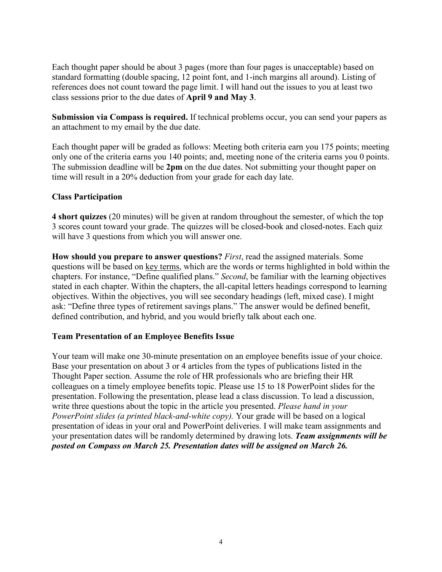Each thought paper should be about 3 pages (more than four pages is unacceptable) based on standard formatting (double spacing, 12 point font, and 1-inch margins all around). Listing of references does not count toward the page limit. I will hand out the issues to you at least two class sessions prior to the due dates of **April 9 and May 3**.

**Submission via Compass is required.** If technical problems occur, you can send your papers as an attachment to my email by the due date.

Each thought paper will be graded as follows: Meeting both criteria earn you 175 points; meeting only one of the criteria earns you 140 points; and, meeting none of the criteria earns you 0 points. The submission deadline will be **2pm** on the due dates. Not submitting your thought paper on time will result in a 20% deduction from your grade for each day late.

### **Class Participation**

**4 short quizzes** (20 minutes) will be given at random throughout the semester, of which the top 3 scores count toward your grade. The quizzes will be closed-book and closed-notes. Each quiz will have 3 questions from which you will answer one.

**How should you prepare to answer questions?** *First*, read the assigned materials. Some questions will be based on key terms, which are the words or terms highlighted in bold within the chapters. For instance, "Define qualified plans." *Second*, be familiar with the learning objectives stated in each chapter. Within the chapters, the all-capital letters headings correspond to learning objectives. Within the objectives, you will see secondary headings (left, mixed case). I might ask: "Define three types of retirement savings plans." The answer would be defined benefit, defined contribution, and hybrid, and you would briefly talk about each one.

### **Team Presentation of an Employee Benefits Issue**

Your team will make one 30-minute presentation on an employee benefits issue of your choice. Base your presentation on about 3 or 4 articles from the types of publications listed in the Thought Paper section. Assume the role of HR professionals who are briefing their HR colleagues on a timely employee benefits topic. Please use 15 to 18 PowerPoint slides for the presentation. Following the presentation, please lead a class discussion. To lead a discussion, write three questions about the topic in the article you presented. *Please hand in your PowerPoint slides (a printed black-and-white copy).* Your grade will be based on a logical presentation of ideas in your oral and PowerPoint deliveries. I will make team assignments and your presentation dates will be randomly determined by drawing lots. *Team assignments will be posted on Compass on March 25. Presentation dates will be assigned on March 26.*